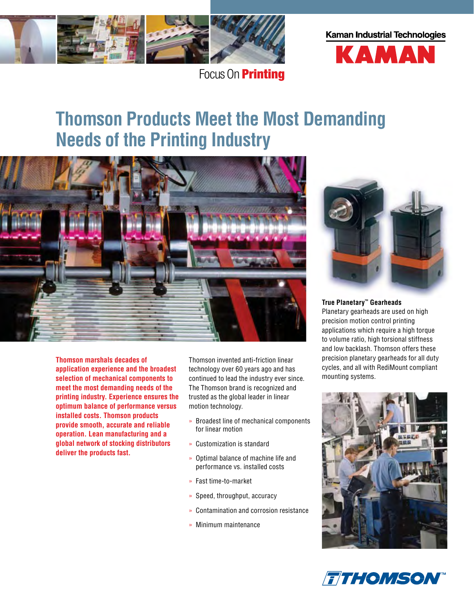

Focus On **Printing** 

# **Kaman Industrial Technologies**



# **Thomson Products Meet the Most Demanding Needs of the Printing Industry**



**Thomson marshals decades of application experience and the broadest selection of mechanical components to meet the most demanding needs of the printing industry. Experience ensures the optimum balance of performance versus installed costs. Thomson products provide smooth, accurate and reliable operation. Lean manufacturing and a global network of stocking distributors deliver the products fast.** 

Thomson invented anti-friction linear technology over 60 years ago and has continued to lead the industry ever since. The Thomson brand is recognized and trusted as the global leader in linear motion technology.

- » Broadest line of mechanical components for linear motion
- » Customization is standard
- » Optimal balance of machine life and performance vs. installed costs
- » Fast time-to-market
- » Speed, throughput, accuracy
- » Contamination and corrosion resistance
- » Minimum maintenance



# **True Planetary™ Gearheads**

Planetary gearheads are used on high precision motion control printing applications which require a high torque to volume ratio, high torsional stiffness and low backlash. Thomson offers these precision planetary gearheads for all duty cycles, and all with RediMount compliant mounting systems.